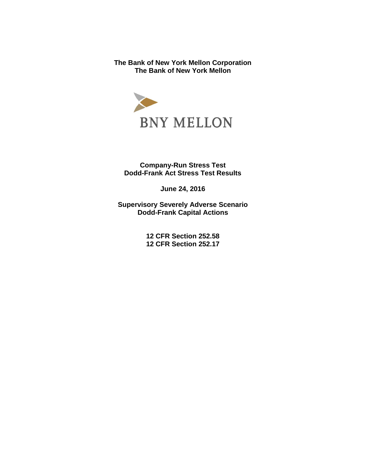**The Bank of New York Mellon Corporation The Bank of New York Mellon** 



**Company-Run Stress Test Dodd-Frank Act Stress Test Results** 

**June 24, 2016** 

**Supervisory Severely Adverse Scenario Dodd-Frank Capital Actions**

> **12 CFR Section 252.58 12 CFR Section 252.17**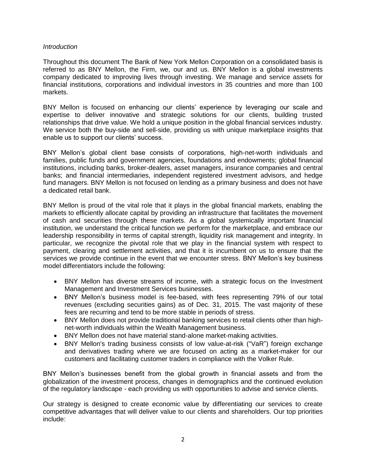## *Introduction*

Throughout this document The Bank of New York Mellon Corporation on a consolidated basis is referred to as BNY Mellon, the Firm, we, our and us. BNY Mellon is a global investments company dedicated to improving lives through investing. We manage and service assets for financial institutions, corporations and individual investors in 35 countries and more than 100 markets.

BNY Mellon is focused on enhancing our clients' experience by leveraging our scale and expertise to deliver innovative and strategic solutions for our clients, building trusted relationships that drive value. We hold a unique position in the global financial services industry. We service both the buy-side and sell-side, providing us with unique marketplace insights that enable us to support our clients' success.

BNY Mellon's global client base consists of corporations, high-net-worth individuals and families, public funds and government agencies, foundations and endowments; global financial institutions, including banks, broker-dealers, asset managers, insurance companies and central banks; and financial intermediaries, independent registered investment advisors, and hedge fund managers. BNY Mellon is not focused on lending as a primary business and does not have a dedicated retail bank.

BNY Mellon is proud of the vital role that it plays in the global financial markets, enabling the markets to efficiently allocate capital by providing an infrastructure that facilitates the movement of cash and securities through these markets. As a global systemically important financial institution, we understand the critical function we perform for the marketplace, and embrace our leadership responsibility in terms of capital strength, liquidity risk management and integrity. In particular, we recognize the pivotal role that we play in the financial system with respect to payment, clearing and settlement activities, and that it is incumbent on us to ensure that the services we provide continue in the event that we encounter stress. BNY Mellon's key business model differentiators include the following:

- BNY Mellon has diverse streams of income, with a strategic focus on the Investment Management and Investment Services businesses.
- BNY Mellon's business model is fee-based, with fees representing 79% of our total revenues (excluding securities gains) as of Dec. 31, 2015. The vast majority of these fees are recurring and tend to be more stable in periods of stress.
- BNY Mellon does not provide traditional banking services to retail clients other than highnet-worth individuals within the Wealth Management business.
- BNY Mellon does not have material stand-alone market-making activities.
- BNY Mellon's trading business consists of low value-at-risk ("VaR") foreign exchange and derivatives trading where we are focused on acting as a market-maker for our customers and facilitating customer traders in compliance with the Volker Rule.

BNY Mellon's businesses benefit from the global growth in financial assets and from the globalization of the investment process, changes in demographics and the continued evolution of the regulatory landscape - each providing us with opportunities to advise and service clients.

Our strategy is designed to create economic value by differentiating our services to create competitive advantages that will deliver value to our clients and shareholders. Our top priorities include: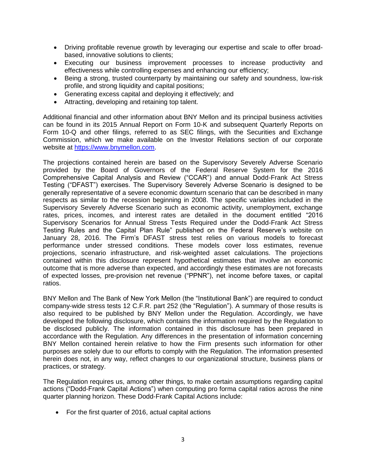- Driving profitable revenue growth by leveraging our expertise and scale to offer broadbased, innovative solutions to clients;
- Executing our business improvement processes to increase productivity and effectiveness while controlling expenses and enhancing our efficiency;
- Being a strong, trusted counterparty by maintaining our safety and soundness, low-risk profile, and strong liquidity and capital positions;
- Generating excess capital and deploying it effectively; and
- Attracting, developing and retaining top talent.

Additional financial and other information about BNY Mellon and its principal business activities can be found in its 2015 Annual Report on Form 10-K and subsequent Quarterly Reports on Form 10-Q and other filings, referred to as SEC filings, with the Securities and Exchange Commission, which we make available on the Investor Relations section of our corporate website at [https://www.bnymellon.com.](https://www.bnymellon.com/)

The projections contained herein are based on the Supervisory Severely Adverse Scenario provided by the Board of Governors of the Federal Reserve System for the 2016 Comprehensive Capital Analysis and Review ("CCAR") and annual Dodd-Frank Act Stress Testing ("DFAST") exercises. The Supervisory Severely Adverse Scenario is designed to be generally representative of a severe economic downturn scenario that can be described in many respects as similar to the recession beginning in 2008. The specific variables included in the Supervisory Severely Adverse Scenario such as economic activity, unemployment, exchange rates, prices, incomes, and interest rates are detailed in the document entitled "2016 Supervisory Scenarios for Annual Stress Tests Required under the Dodd-Frank Act Stress Testing Rules and the Capital Plan Rule" published on the Federal Reserve's website on January 28, 2016. The Firm's DFAST stress test relies on various models to forecast performance under stressed conditions. These models cover loss estimates, revenue projections, scenario infrastructure, and risk-weighted asset calculations. The projections contained within this disclosure represent hypothetical estimates that involve an economic outcome that is more adverse than expected, and accordingly these estimates are not forecasts of expected losses, pre-provision net revenue ("PPNR"), net income before taxes, or capital ratios.

BNY Mellon and The Bank of New York Mellon (the "Institutional Bank") are required to conduct company-wide stress tests 12 C.F.R. part 252 (the "Regulation"). A summary of those results is also required to be published by BNY Mellon under the Regulation. Accordingly, we have developed the following disclosure, which contains the information required by the Regulation to be disclosed publicly. The information contained in this disclosure has been prepared in accordance with the Regulation. Any differences in the presentation of information concerning BNY Mellon contained herein relative to how the Firm presents such information for other purposes are solely due to our efforts to comply with the Regulation. The information presented herein does not, in any way, reflect changes to our organizational structure, business plans or practices, or strategy.

The Regulation requires us, among other things, to make certain assumptions regarding capital actions ("Dodd-Frank Capital Actions") when computing pro forma capital ratios across the nine quarter planning horizon. These Dodd-Frank Capital Actions include:

• For the first quarter of 2016, actual capital actions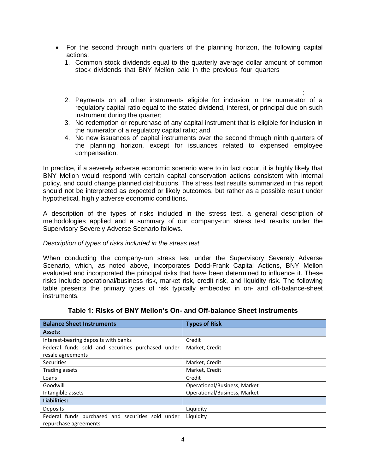- For the second through ninth quarters of the planning horizon, the following capital actions:
	- 1. Common stock dividends equal to the quarterly average dollar amount of common stock dividends that BNY Mellon paid in the previous four quarters
	- $\frac{1}{\epsilon}$ 2. Payments on all other instruments eligible for inclusion in the numerator of a regulatory capital ratio equal to the stated dividend, interest, or principal due on such instrument during the quarter;
	- 3. No redemption or repurchase of any capital instrument that is eligible for inclusion in the numerator of a regulatory capital ratio; and
	- 4. No new issuances of capital instruments over the second through ninth quarters of the planning horizon, except for issuances related to expensed employee compensation.

In practice, if a severely adverse economic scenario were to in fact occur, it is highly likely that BNY Mellon would respond with certain capital conservation actions consistent with internal policy, and could change planned distributions. The stress test results summarized in this report should not be interpreted as expected or likely outcomes, but rather as a possible result under hypothetical, highly adverse economic conditions.

A description of the types of risks included in the stress test, a general description of methodologies applied and a summary of our company-run stress test results under the Supervisory Severely Adverse Scenario follows.

# *Description of types of risks included in the stress test*

When conducting the company-run stress test under the Supervisory Severely Adverse Scenario, which, as noted above, incorporates Dodd-Frank Capital Actions, BNY Mellon evaluated and incorporated the principal risks that have been determined to influence it. These risks include operational/business risk, market risk, credit risk, and liquidity risk. The following table presents the primary types of risk typically embedded in on- and off-balance-sheet instruments.

| <b>Balance Sheet Instruments</b>                  | <b>Types of Risk</b>         |
|---------------------------------------------------|------------------------------|
| Assets:                                           |                              |
| Interest-bearing deposits with banks              | Credit                       |
| Federal funds sold and securities purchased under | Market, Credit               |
| resale agreements                                 |                              |
| <b>Securities</b>                                 | Market, Credit               |
| Trading assets                                    | Market, Credit               |
| Loans                                             | Credit                       |
| Goodwill                                          | Operational/Business, Market |
| Intangible assets                                 | Operational/Business, Market |
| Liabilities:                                      |                              |
| Deposits                                          | Liquidity                    |
| Federal funds purchased and securities sold under | Liquidity                    |
| repurchase agreements                             |                              |

|  | Table 1: Risks of BNY Mellon's On- and Off-balance Sheet Instruments |  |  |  |
|--|----------------------------------------------------------------------|--|--|--|
|--|----------------------------------------------------------------------|--|--|--|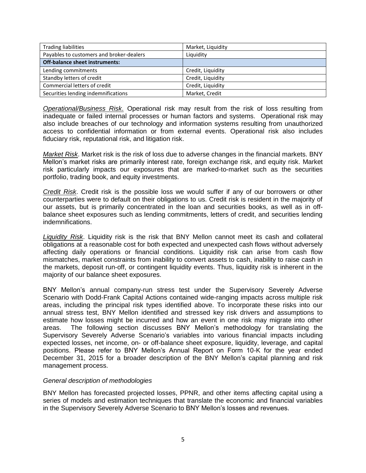| <b>Trading liabilities</b>               | Market, Liquidity |
|------------------------------------------|-------------------|
| Payables to customers and broker-dealers | Liquidity         |
| <b>Off-balance sheet instruments:</b>    |                   |
| Lending commitments                      | Credit, Liquidity |
| Standby letters of credit                | Credit, Liquidity |
| Commercial letters of credit             | Credit, Liquidity |
| Securities lending indemnifications      | Market, Credit    |

*Operational/Business Risk*. Operational risk may result from the risk of loss resulting from inadequate or failed internal processes or human factors and systems. Operational risk may also include breaches of our technology and information systems resulting from unauthorized access to confidential information or from external events. Operational risk also includes fiduciary risk, reputational risk, and litigation risk.

*Market Risk*. Market risk is the risk of loss due to adverse changes in the financial markets. BNY Mellon's market risks are primarily interest rate, foreign exchange risk, and equity risk. Market risk particularly impacts our exposures that are marked-to-market such as the securities portfolio, trading book, and equity investments.

*Credit Risk*. Credit risk is the possible loss we would suffer if any of our borrowers or other counterparties were to default on their obligations to us. Credit risk is resident in the majority of our assets, but is primarily concentrated in the loan and securities books, as well as in offbalance sheet exposures such as lending commitments, letters of credit, and securities lending indemnifications.

*Liquidity Risk*. Liquidity risk is the risk that BNY Mellon cannot meet its cash and collateral obligations at a reasonable cost for both expected and unexpected cash flows without adversely affecting daily operations or financial conditions. Liquidity risk can arise from cash flow mismatches, market constraints from inability to convert assets to cash, inability to raise cash in the markets, deposit run-off, or contingent liquidity events. Thus, liquidity risk is inherent in the majority of our balance sheet exposures.

BNY Mellon's annual company-run stress test under the Supervisory Severely Adverse Scenario with Dodd-Frank Capital Actions contained wide-ranging impacts across multiple risk areas, including the principal risk types identified above. To incorporate these risks into our annual stress test, BNY Mellon identified and stressed key risk drivers and assumptions to estimate how losses might be incurred and how an event in one risk may migrate into other areas. The following section discusses BNY Mellon's methodology for translating the Supervisory Severely Adverse Scenario's variables into various financial impacts including expected losses, net income, on- or off-balance sheet exposure, liquidity, leverage, and capital positions. Please refer to BNY Mellon's Annual Report on Form 10-K for the year ended December 31, 2015 for a broader description of the BNY Mellon's capital planning and risk management process.

### *General description of methodologies*

BNY Mellon has forecasted projected losses, PPNR, and other items affecting capital using a series of models and estimation techniques that translate the economic and financial variables in the Supervisory Severely Adverse Scenario to BNY Mellon's losses and revenues.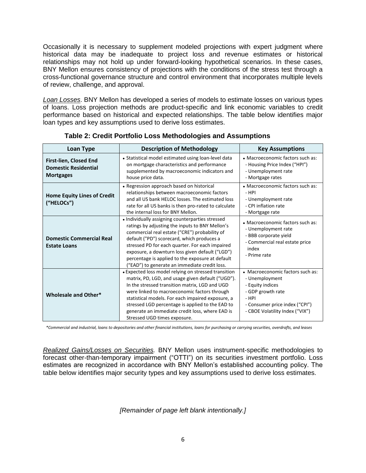Occasionally it is necessary to supplement modeled projections with expert judgment where historical data may be inadequate to project loss and revenue estimates or historical relationships may not hold up under forward-looking hypothetical scenarios. In these cases, BNY Mellon ensures consistency of projections with the conditions of the stress test through a cross-functional governance structure and control environment that incorporates multiple levels of review, challenge, and approval.

*Loan Losses*. BNY Mellon has developed a series of models to estimate losses on various types of loans. Loss projection methods are product-specific and link economic variables to credit performance based on historical and expected relationships. The table below identifies major loan types and key assumptions used to derive loss estimates.

| <b>Description of Methodology</b><br>Loan Type                                                                                                                                                                                                                                                                                                                                                                                  |                                                                                                                                                                                                                                                                                                                                                                                                               | <b>Key Assumptions</b>                                                                                                                                                    |
|---------------------------------------------------------------------------------------------------------------------------------------------------------------------------------------------------------------------------------------------------------------------------------------------------------------------------------------------------------------------------------------------------------------------------------|---------------------------------------------------------------------------------------------------------------------------------------------------------------------------------------------------------------------------------------------------------------------------------------------------------------------------------------------------------------------------------------------------------------|---------------------------------------------------------------------------------------------------------------------------------------------------------------------------|
| First-lien, Closed End<br><b>Domestic Residential</b><br><b>Mortgages</b>                                                                                                                                                                                                                                                                                                                                                       | • Statistical model estimated using loan-level data<br>on mortgage characteristics and performance<br>supplemented by macroeconomic indicators and<br>house price data.                                                                                                                                                                                                                                       | • Macroeconomic factors such as:<br>- Housing Price Index ("HPI")<br>- Unemployment rate<br>- Mortgage rates                                                              |
| • Regression approach based on historical<br>relationships between macroeconomic factors<br><b>Home Equity Lines of Credit</b><br>and all US bank HELOC losses. The estimated loss<br>("HELOCs")<br>rate for all US banks is then pro-rated to calculate<br>the internal loss for BNY Mellon.                                                                                                                                   |                                                                                                                                                                                                                                                                                                                                                                                                               | • Macroeconomic factors such as:<br>$-HPI$<br>- Unemployment rate<br>- CPI inflation rate<br>- Mortgage rate                                                              |
| <b>Domestic Commercial Real</b><br><b>Estate Loans</b>                                                                                                                                                                                                                                                                                                                                                                          | • Individually assigning counterparties stressed<br>ratings by adjusting the inputs to BNY Mellon's<br>commercial real estate ("CRE") probability of<br>default ("PD") scorecard, which produces a<br>stressed PD for each quarter. For each impaired<br>exposure, a downturn loss given default ("LGD")<br>percentage is applied to the exposure at default<br>("EAD") to generate an immediate credit loss. | • Macroeconomic factors such as:<br>- Unemployment rate<br>- BBB corporate yield<br>- Commercial real estate price<br>index<br>- Prime rate                               |
| • Expected loss model relying on stressed transition<br>matrix, PD, LGD, and usage given default ("UGD").<br>In the stressed transition matrix, LGD and UGD<br>were linked to macroeconomic factors through<br>Wholesale and Other*<br>statistical models. For each impaired exposure, a<br>stressed LGD percentage is applied to the EAD to<br>generate an immediate credit loss, where EAD is<br>Stressed UGD times exposure. |                                                                                                                                                                                                                                                                                                                                                                                                               | • Macroeconomic factors such as:<br>- Unemployment<br>- Equity indices<br>- GDP growth rate<br>- HPI<br>- Consumer price index ("CPI")<br>- CBOE Volatility Index ("VIX") |

**Table 2: Credit Portfolio Loss Methodologies and Assumptions** 

*\*Commercial and industrial, loans to depositories and other financial institutions, loans for purchasing or carrying securities, overdrafts, and leases* 

*Realized Gains/Losses on Securities.* BNY Mellon uses instrument-specific methodologies to forecast other-than-temporary impairment ("OTTI") on its securities investment portfolio. Loss estimates are recognized in accordance with BNY Mellon's established accounting policy. The table below identifies major security types and key assumptions used to derive loss estimates.

*[Remainder of page left blank intentionally.]*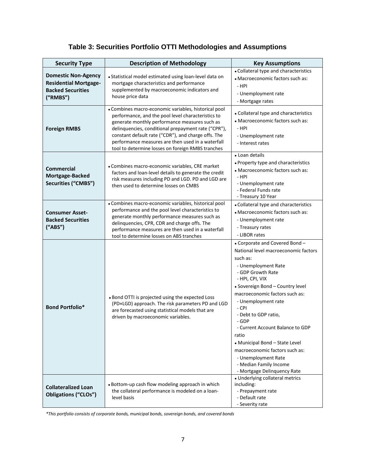# **Table 3: Securities Portfolio OTTI Methodologies and Assumptions**

| <b>Security Type</b>                                                                                                                                                                                                                                                                                                                                                         | <b>Description of Methodology</b>                                                                                                                                                                                                                                                                                                                                                   | <b>Key Assumptions</b>                                                                                                                                                                                                                                                                                                                                                                                                                                                                   |  |
|------------------------------------------------------------------------------------------------------------------------------------------------------------------------------------------------------------------------------------------------------------------------------------------------------------------------------------------------------------------------------|-------------------------------------------------------------------------------------------------------------------------------------------------------------------------------------------------------------------------------------------------------------------------------------------------------------------------------------------------------------------------------------|------------------------------------------------------------------------------------------------------------------------------------------------------------------------------------------------------------------------------------------------------------------------------------------------------------------------------------------------------------------------------------------------------------------------------------------------------------------------------------------|--|
| <b>Domestic Non-Agency</b><br><b>Residential Mortgage-</b><br><b>Backed Securities</b><br>("RMBS")                                                                                                                                                                                                                                                                           | • Statistical model estimated using loan-level data on<br>mortgage characteristics and performance<br>supplemented by macroeconomic indicators and<br>house price data                                                                                                                                                                                                              | • Collateral type and characteristics<br>• Macroeconomic factors such as:<br>- HPI<br>- Unemployment rate<br>- Mortgage rates                                                                                                                                                                                                                                                                                                                                                            |  |
| <b>Foreign RMBS</b>                                                                                                                                                                                                                                                                                                                                                          | • Combines macro-economic variables, historical pool<br>performance, and the pool level characteristics to<br>generate monthly performance measures such as<br>delinquencies, conditional prepayment rate ("CPR"),<br>constant default rate ("CDR"), and charge offs. The<br>performance measures are then used in a waterfall<br>tool to determine losses on foreign RMBS tranches | • Collateral type and characteristics<br>• Macroeconomic factors such as:<br>- HPI<br>- Unemployment rate<br>- Interest rates                                                                                                                                                                                                                                                                                                                                                            |  |
| <b>Commercial</b><br>Mortgage-Backed<br>Securities ("CMBS")                                                                                                                                                                                                                                                                                                                  | • Combines macro-economic variables, CRE market<br>factors and loan-level details to generate the credit<br>risk measures including PD and LGD. PD and LGD are<br>then used to determine losses on CMBS                                                                                                                                                                             | • Loan details<br>• Property type and characteristics<br>• Macroeconomic factors such as:<br>- HPI<br>- Unemployment rate<br>- Federal Funds rate<br>- Treasury 10 Year                                                                                                                                                                                                                                                                                                                  |  |
| • Combines macro-economic variables, historical pool<br>performance and the pool level characteristics to<br><b>Consumer Asset-</b><br>generate monthly performance measures such as<br><b>Backed Securities</b><br>delinquencies, CPR, CDR and charge offs. The<br>("ABS")<br>performance measures are then used in a waterfall<br>tool to determine losses on ABS tranches |                                                                                                                                                                                                                                                                                                                                                                                     | • Collateral type and characteristics<br>• Macroeconomic factors such as:<br>- Unemployment rate<br>- Treasury rates<br>- LIBOR rates                                                                                                                                                                                                                                                                                                                                                    |  |
| <b>Bond Portfolio*</b>                                                                                                                                                                                                                                                                                                                                                       | . Bond OTTI is projected using the expected Loss<br>(PD×LGD) approach. The risk parameters PD and LGD<br>are forecasted using statistical models that are<br>driven by macroeconomic variables.                                                                                                                                                                                     | • Corporate and Covered Bond-<br>National level macroeconomic factors<br>such as:<br>- Unemployment Rate<br>- GDP Growth Rate<br>- HPI, CPI, VIX<br>• Sovereign Bond - Country level<br>macroeconomic factors such as:<br>- Unemployment rate<br>- CPI<br>- Debt to GDP ratio,<br>- GDP<br>- Current Account Balance to GDP<br>ratio<br>• Municipal Bond - State Level<br>macroeconomic factors such as:<br>- Unemployment Rate<br>- Median Family Income<br>- Mortgage Delinquency Rate |  |
| <b>Collateralized Loan</b><br><b>Obligations ("CLOs")</b>                                                                                                                                                                                                                                                                                                                    | • Bottom-up cash flow modeling approach in which<br>the collateral performance is modeled on a loan-<br>level basis                                                                                                                                                                                                                                                                 | • Underlying collateral metrics<br>including:<br>- Prepayment rate<br>- Default rate<br>- Severity rate                                                                                                                                                                                                                                                                                                                                                                                  |  |

*\*This portfolio consists of corporate bonds, municipal bonds, sovereign bonds, and covered bonds*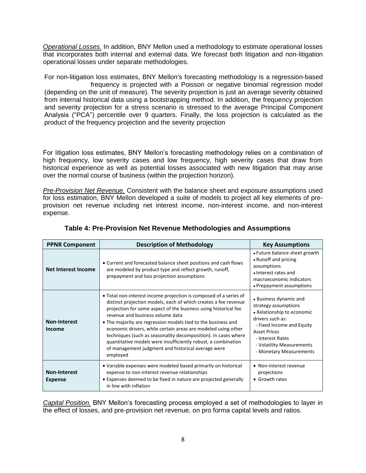*Operational Losses.* In addition, BNY Mellon used a methodology to estimate operational losses that incorporates both internal and external data. We forecast both litigation and non-litigation operational losses under separate methodologies.

For non-litigation loss estimates, BNY Mellon's forecasting methodology is a regression-based frequency is projected with a Poisson or negative binomial regression model (depending on the unit of measure). The severity projection is just an average severity obtained from internal historical data using a bootstrapping method. In addition, the frequency projection and severity projection for a stress scenario is stressed to the average Principal Component Analysis ("PCA") percentile over 9 quarters. Finally, the loss projection is calculated as the product of the frequency projection and the severity projection

For litigation loss estimates, BNY Mellon's forecasting methodology relies on a combination of high frequency, low severity cases and low frequency, high severity cases that draw from historical experience as well as potential losses associated with new litigation that may arise over the normal course of business (within the projection horizon).

*Pre-Provision Net Revenue.* Consistent with the balance sheet and exposure assumptions used for loss estimation, BNY Mellon developed a suite of models to project all key elements of preprovision net revenue including net interest income, non-interest income, and non-interest expense.

| <b>PPNR Component</b>                                                                                                                                                                                                                                                                                                                                                                                                                                                                                                                                                                                               | <b>Description of Methodology</b>                                                                                                                                                                                                | <b>Key Assumptions</b>                                                                                                                               |
|---------------------------------------------------------------------------------------------------------------------------------------------------------------------------------------------------------------------------------------------------------------------------------------------------------------------------------------------------------------------------------------------------------------------------------------------------------------------------------------------------------------------------------------------------------------------------------------------------------------------|----------------------------------------------------------------------------------------------------------------------------------------------------------------------------------------------------------------------------------|------------------------------------------------------------------------------------------------------------------------------------------------------|
| <b>Net Interest Income</b>                                                                                                                                                                                                                                                                                                                                                                                                                                                                                                                                                                                          | • Current and forecasted balance sheet positions and cash flows<br>are modeled by product type and reflect growth, runoff,<br>prepayment and loss projection assumptions                                                         | • Future balance sheet growth<br>• Runoff and pricing<br>assumptions<br>• Interest rates and<br>macroeconomic indicators<br>• Prepayment assumptions |
| • Total non-interest income projection is composed of a series of<br>distinct projection models, each of which creates a fee revenue<br>projection for some aspect of the business using historical fee<br>revenue and business volume data<br><b>Non-Interest</b><br>• The majority are regression models tied to the business and<br>economic drivers, while certain areas are modeled using other<br>Income<br>techniques (such as seasonality decomposition). In cases where<br>quantitative models were insufficiently robust, a combination<br>of management judgment and historical average were<br>employed | • Business dynamic and<br>strategy assumptions<br>• Relationship to economic<br>drivers such as:<br>- Fixed Income and Equity<br><b>Asset Prices</b><br>- Interest Rates<br>- Volatility Measurements<br>- Monetary Measurements |                                                                                                                                                      |
| <b>Non-Interest</b><br><b>Expense</b>                                                                                                                                                                                                                                                                                                                                                                                                                                                                                                                                                                               | • Variable expenses were modeled based primarily on historical<br>expense to non-interest revenue relationships<br>• Expenses deemed to be fixed in nature are projected generally<br>in line with inflation                     |                                                                                                                                                      |

# **Table 4: Pre-Provision Net Revenue Methodologies and Assumptions**

*Capital Position.* BNY Mellon's forecasting process employed a set of methodologies to layer in the effect of losses, and pre-provision net revenue, on pro forma capital levels and ratios.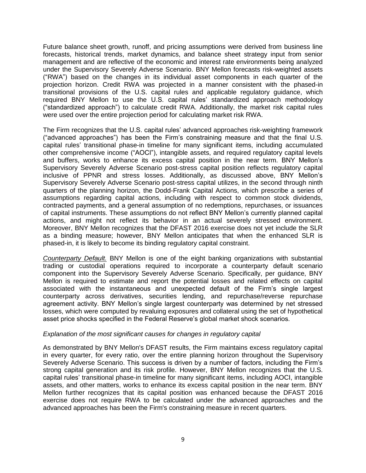Future balance sheet growth, runoff, and pricing assumptions were derived from business line forecasts, historical trends, market dynamics, and balance sheet strategy input from senior management and are reflective of the economic and interest rate environments being analyzed under the Supervisory Severely Adverse Scenario. BNY Mellon forecasts risk-weighted assets ("RWA") based on the changes in its individual asset components in each quarter of the projection horizon. Credit RWA was projected in a manner consistent with the phased-in transitional provisions of the U.S. capital rules and applicable regulatory guidance, which required BNY Mellon to use the U.S. capital rules' standardized approach methodology ("standardized approach") to calculate credit RWA. Additionally, the market risk capital rules were used over the entire projection period for calculating market risk RWA.

The Firm recognizes that the U.S. capital rules' advanced approaches risk-weighting framework ("advanced approaches") has been the Firm's constraining measure and that the final U.S. capital rules' transitional phase-in timeline for many significant items, including accumulated other comprehensive income ("AOCI"), intangible assets, and required regulatory capital levels and buffers, works to enhance its excess capital position in the near term. BNY Mellon's Supervisory Severely Adverse Scenario post-stress capital position reflects regulatory capital inclusive of PPNR and stress losses. Additionally, as discussed above, BNY Mellon's Supervisory Severely Adverse Scenario post-stress capital utilizes, in the second through ninth quarters of the planning horizon, the Dodd-Frank Capital Actions, which prescribe a series of assumptions regarding capital actions, including with respect to common stock dividends, contracted payments, and a general assumption of no redemptions, repurchases, or issuances of capital instruments. These assumptions do not reflect BNY Mellon's currently planned capital actions, and might not reflect its behavior in an actual severely stressed environment. Moreover, BNY Mellon recognizes that the DFAST 2016 exercise does not yet include the SLR as a binding measure; however, BNY Mellon anticipates that when the enhanced SLR is phased-in, it is likely to become its binding regulatory capital constraint.

*Counterparty Default.* BNY Mellon is one of the eight banking organizations with substantial trading or custodial operations required to incorporate a counterparty default scenario component into the Supervisory Severely Adverse Scenario. Specifically, per guidance, BNY Mellon is required to estimate and report the potential losses and related effects on capital associated with the instantaneous and unexpected default of the Firm's single largest counterparty across derivatives, securities lending, and repurchase/reverse repurchase agreement activity. BNY Mellon's single largest counterparty was determined by net stressed losses, which were computed by revaluing exposures and collateral using the set of hypothetical asset price shocks specified in the Federal Reserve's global market shock scenarios.

### *Explanation of the most significant causes for changes in regulatory capital*

As demonstrated by BNY Mellon's DFAST results, the Firm maintains excess regulatory capital in every quarter, for every ratio, over the entire planning horizon throughout the Supervisory Severely Adverse Scenario. This success is driven by a number of factors, including the Firm's strong capital generation and its risk profile. However, BNY Mellon recognizes that the U.S. capital rules' transitional phase-in timeline for many significant items, including AOCI, intangible assets, and other matters, works to enhance its excess capital position in the near term. BNY Mellon further recognizes that its capital position was enhanced because the DFAST 2016 exercise does not require RWA to be calculated under the advanced approaches and the advanced approaches has been the Firm's constraining measure in recent quarters.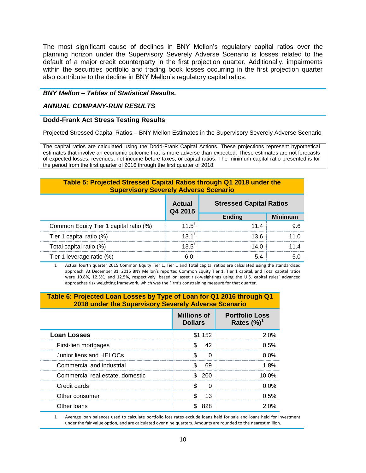The most significant cause of declines in BNY Mellon's regulatory capital ratios over the planning horizon under the Supervisory Severely Adverse Scenario is losses related to the default of a major credit counterparty in the first projection quarter. Additionally, impairments within the securities portfolio and trading book losses occurring in the first projection quarter also contribute to the decline in BNY Mellon's regulatory capital ratios.

# *BNY Mellon – Tables of Statistical Results.*

## *ANNUAL COMPANY-RUN RESULTS*

## **Dodd-Frank Act Stress Testing Results**

Projected Stressed Capital Ratios – BNY Mellon Estimates in the Supervisory Severely Adverse Scenario

The capital ratios are calculated using the Dodd-Frank Capital Actions. These projections represent hypothetical estimates that involve an economic outcome that is more adverse than expected. These estimates are not forecasts of expected losses, revenues, net income before taxes, or capital ratios. The minimum capital ratio presented is for the period from the first quarter of 2016 through the first quarter of 2018.

# **Table 5: Projected Stressed Capital Ratios through Q1 2018 under the Supervisory Severely Adverse Scenario**

|                                        | Actual<br>Q4 2015 | <b>Stressed Capital Ratios</b><br><b>Minimum</b><br><b>Ending</b> |  |
|----------------------------------------|-------------------|-------------------------------------------------------------------|--|
|                                        |                   |                                                                   |  |
| Common Equity Tier 1 capital ratio (%) | 11.5'             | 11 4                                                              |  |
| Tier 1 capital ratio (%)               | 13.1'             | 13 6                                                              |  |
| Total capital ratio (%)                | 13 $5^{1}$        | 14 N                                                              |  |
| Tier 1 leverage ratio (%)              |                   |                                                                   |  |

1 Actual fourth quarter 2015 Common Equity Tier 1, Tier 1 and Total capital ratios are calculated using the standardized approach. At December 31, 2015 BNY Mellon's reported Common Equity Tier 1, Tier 1 capital, and Total capital ratios were 10.8%, 12.3%, and 12.5%, respectively, based on asset risk-weightings using the U.S. capital rules' advanced approaches risk weighting framework, which was the Firm's constraining measure for that quarter.

### **Table 6: Projected Loan Losses by Type of Loan for Q1 2016 through Q1 2018 under the Supervisory Severely Adverse Scenario**

|                                  | <b>Millions of</b><br><b>Dollars</b> | <b>Portfolio Loss</b><br>Rates $(\%)^1$ |
|----------------------------------|--------------------------------------|-----------------------------------------|
| <b>Loan Losses</b>               | \$1,152                              | 2.0%                                    |
| First-lien mortgages             | 42<br>\$.                            | 0.5%                                    |
| Junior liens and HELOCs          | ∩                                    | <u>በ በ% </u>                            |
| Commercial and industrial        | 69                                   | 1.8%                                    |
| Commercial real estate, domestic | 200                                  | $10.0\%$                                |
| Credit cards                     | ∩                                    | በ በ%                                    |
| Other consumer                   | 13                                   | 0.5%                                    |
| Other Ioans                      | 828                                  | 2.0%                                    |

1 Average loan balances used to calculate portfolio loss rates exclude loans held for sale and loans held for investment under the fair value option, and are calculated over nine quarters. Amounts are rounded to the nearest million.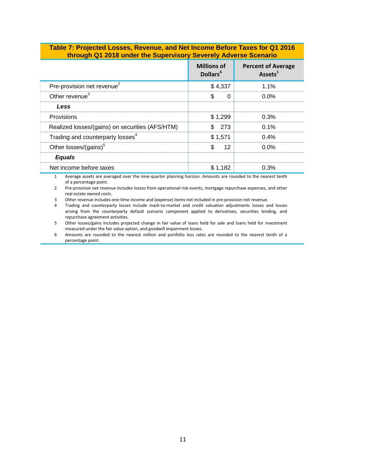#### **Table 7: Projected Losses, Revenue, and Net Income Before Taxes for Q1 2016 through Q1 2018 under the Supervisory Severely Adverse Scenario**

|                                                 | <b>Millions of</b><br>Dollars <sup>6</sup> | <b>Percent of Average</b><br>Assets <sup>1</sup> |
|-------------------------------------------------|--------------------------------------------|--------------------------------------------------|
| Pre-provision net revenue <sup>2</sup>          | \$4.337                                    | 1 1%                                             |
| Other revenue <sup>3</sup>                      | S.<br>0                                    | <u>በ በ% </u>                                     |
| Less                                            |                                            |                                                  |
| Provisions                                      | \$1.299                                    | 0.3%                                             |
| Realized losses/(gains) on securities (AFS/HTM) | 273                                        | $0.1\%$                                          |
| Trading and counterparty losses <sup>4</sup>    | \$1.571                                    | $0.4\%$                                          |
| Other losses/(gains) <sup>5</sup>               | 12                                         | <u>በ በ% </u>                                     |
| <b>Equals</b>                                   |                                            |                                                  |
| Net income before taxes                         | \$1.182                                    | በ 3%                                             |

1 Average assets are averaged over the nine-quarter planning horizon. Amounts are rounded to the nearest tenth of a percentage point.

2 Pre-provision net revenue includes losses from operational-risk events, mortgage repurchase expenses, and other real estate owned costs.

3 Other revenue includes one-time income and (expense) items not included in pre-provision net revenue.<br>4 Trading and counterparty losses include mark-to-market and credit valuation adjustments losses a

4 Trading and counterparty losses include mark-to-market and credit valuation adjustments losses and losses arising from the counterparty default scenario component applied to derivatives, securities lending, and repurchase agreement activities.

5 Other losses/gains includes projected change in fair value of loans held for sale and loans held for investment measured under the fair value option, and goodwill impairment losses.

6 Amounts are rounded to the nearest million and portfolio loss rates are rounded to the nearest tenth of a percentage point.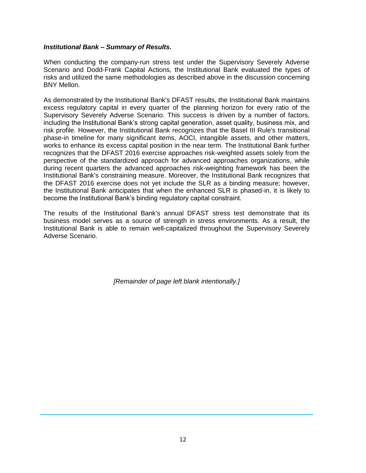## *Institutional Bank – Summary of Results.*

When conducting the company-run stress test under the Supervisory Severely Adverse Scenario and Dodd-Frank Capital Actions, the Institutional Bank evaluated the types of risks and utilized the same methodologies as described above in the discussion concerning BNY Mellon.

As demonstrated by the Institutional Bank's DFAST results, the Institutional Bank maintains excess regulatory capital in every quarter of the planning horizon for every ratio of the Supervisory Severely Adverse Scenario. This success is driven by a number of factors, including the Institutional Bank's strong capital generation, asset quality, business mix, and risk profile. However, the Institutional Bank recognizes that the Basel III Rule's transitional phase-in timeline for many significant items, AOCI, intangible assets, and other matters, works to enhance its excess capital position in the near term. The Institutional Bank further recognizes that the DFAST 2016 exercise approaches risk-weighted assets solely from the perspective of the standardized approach for advanced approaches organizations, while during recent quarters the advanced approaches risk-weighting framework has been the Institutional Bank's constraining measure. Moreover, the Institutional Bank recognizes that the DFAST 2016 exercise does not yet include the SLR as a binding measure; however, the Institutional Bank anticipates that when the enhanced SLR is phased-in, it is likely to become the Institutional Bank's binding regulatory capital constraint.

The results of the Institutional Bank's annual DFAST stress test demonstrate that its business model serves as a source of strength in stress environments. As a result, the Institutional Bank is able to remain well-capitalized throughout the Supervisory Severely Adverse Scenario.

*[Remainder of page left blank intentionally.]*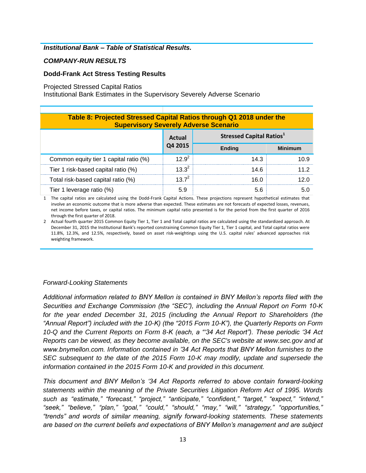## *Institutional Bank – Table of Statistical Results.*

## *COMPANY-RUN RESULTS*

## **Dodd-Frank Act Stress Testing Results**

#### Projected Stressed Capital Ratios

Institutional Bank Estimates in the Supervisory Severely Adverse Scenario

| Table 8: Projected Stressed Capital Ratios through Q1 2018 under the<br><b>Supervisory Severely Adverse Scenario</b> |                                     |      |  |  |
|----------------------------------------------------------------------------------------------------------------------|-------------------------------------|------|--|--|
| <b>Stressed Capital Ratios</b> <sup>1</sup><br>Actual                                                                |                                     |      |  |  |
|                                                                                                                      | Q4 2015<br><b>Ending</b><br>Minimum |      |  |  |
| Common equity tier 1 capital ratio (%)                                                                               | 12 $Q^2$                            | 14.3 |  |  |
| Tier 1 risk-based capital ratio (%)                                                                                  | 13 3 <sup>2</sup>                   | 14 6 |  |  |
| Total risk-based capital ratio (%)                                                                                   | 12 $7^2$                            | 16 O |  |  |
| Tier 1 leverage ratio (%)                                                                                            |                                     | 56   |  |  |

1 The capital ratios are calculated using the Dodd-Frank Capital Actions. These projections represent hypothetical estimates that involve an economic outcome that is more adverse than expected. These estimates are not forecasts of expected losses, revenues, net income before taxes, or capital ratios. The minimum capital ratio presented is for the period from the first quarter of 2016 through the first quarter of 2018.

2 Actual fourth quarter 2015 Common Equity Tier 1, Tier 1 and Total capital ratios are calculated using the standardized approach. At December 31, 2015 the Institutional Bank's reported constraining Common Equity Tier 1, Tier 1 capital, and Total capital ratios were 11.8%, 12.3%, and 12.5%, respectively, based on asset risk-weightings using the U.S. capital rules' advanced approaches risk weighting framework.

# *Forward-Looking Statements*

*Additional information related to BNY Mellon is contained in BNY Mellon's reports filed with the Securities and Exchange Commission (the "SEC"), including the Annual Report on Form 10-K for the year ended December 31, 2015 (including the Annual Report to Shareholders (the "Annual Report") included with the 10-K) (the "2015 Form 10-K"), the Quarterly Reports on Form 10-Q and the Current Reports on Form 8-K (each, a "'34 Act Report"). These periodic '34 Act Reports can be viewed, as they become available, on the SEC's website at www.sec.gov and at www.bnymellon.com. Information contained in '34 Act Reports that BNY Mellon furnishes to the SEC subsequent to the date of the 2015 Form 10-K may modify, update and supersede the information contained in the 2015 Form 10-K and provided in this document.*

*This document and BNY Mellon's '34 Act Reports referred to above contain forward-looking statements within the meaning of the Private Securities Litigation Reform Act of 1995. Words such as "estimate," "forecast," "project," "anticipate," "confident," "target," "expect," "intend," "seek," "believe," "plan," "goal," "could," "should," "may," "will," "strategy," "opportunities," "trends" and words of similar meaning, signify forward-looking statements. These statements are based on the current beliefs and expectations of BNY Mellon's management and are subject*